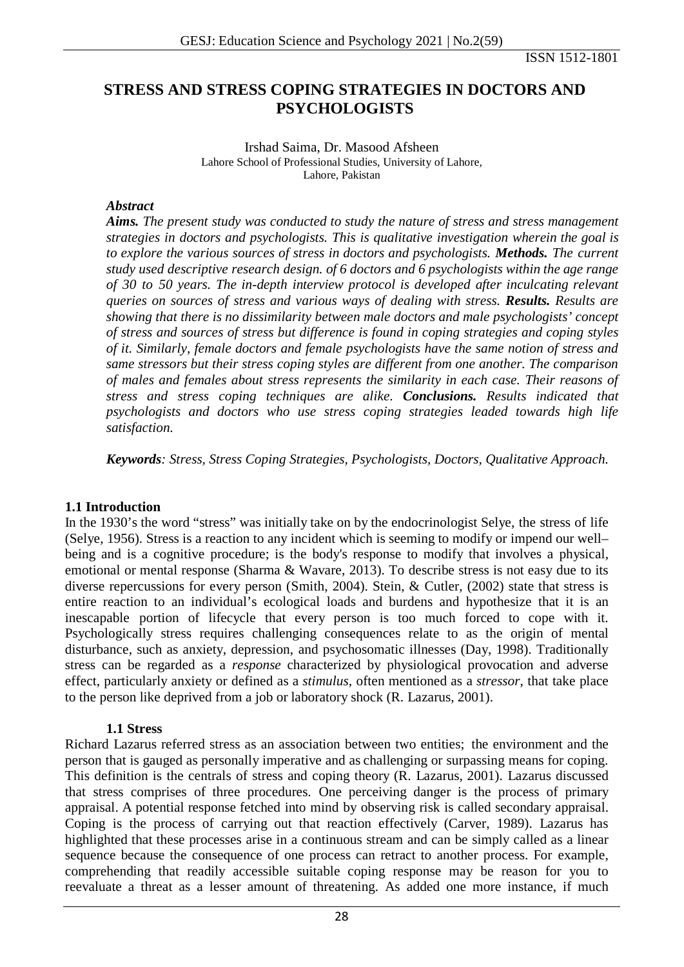ISSN 1512-1801

# **STRESS AND STRESS COPING STRATEGIES IN DOCTORS AND PSYCHOLOGISTS**

Irshad Saima, Dr. Masood Afsheen Lahore School of Professional Studies, University of Lahore, Lahore, Pakistan

### *Abstract*

*Aims. The present study was conducted to study the nature of stress and stress management strategies in doctors and psychologists. This is qualitative investigation wherein the goal is to explore the various sources of stress in doctors and psychologists. Methods. The current study used descriptive research design. of 6 doctors and 6 psychologists within the age range of 30 to 50 years. The in-depth interview protocol is developed after inculcating relevant queries on sources of stress and various ways of dealing with stress. Results. Results are showing that there is no dissimilarity between male doctors and male psychologists' concept of stress and sources of stress but difference is found in coping strategies and coping styles of it. Similarly, female doctors and female psychologists have the same notion of stress and same stressors but their stress coping styles are different from one another. The comparison of males and females about stress represents the similarity in each case. Their reasons of stress and stress coping techniques are alike. Conclusions. Results indicated that psychologists and doctors who use stress coping strategies leaded towards high life satisfaction.*

*Keywords: Stress, Stress Coping Strategies, Psychologists, Doctors, Qualitative Approach.*

### **1.1 Introduction**

In the 1930's the word "stress" was initially take on by the endocrinologist Selye, the stress of life (Selye, 1956). Stress is a reaction to any incident which is seeming to modify or impend our well– being and is a cognitive procedure; is the body's response to modify that involves a physical, emotional or mental response (Sharma & Wavare, 2013). To describe stress is not easy due to its diverse repercussions for every person (Smith, 2004). Stein, & Cutler, (2002) state that stress is entire reaction to an individual's ecological loads and burdens and hypothesize that it is an inescapable portion of lifecycle that every person is too much forced to cope with it. Psychologically stress requires challenging consequences relate to as the origin of mental disturbance, such as anxiety, depression, and psychosomatic illnesses (Day, 1998). Traditionally stress can be regarded as a *response* characterized by physiological provocation and adverse effect, particularly anxiety or defined as a *stimulus*, often mentioned as a *stressor*, that take place to the person like deprived from a job or laboratory shock (R. Lazarus, 2001).

### **1.1 Stress**

Richard Lazarus referred stress as an association between two entities; the environment and the person that is gauged as personally imperative and as challenging or surpassing means for coping. This definition is the centrals of stress and coping theory (R. Lazarus, 2001). Lazarus discussed that stress comprises of three procedures. One perceiving danger is the process of primary appraisal. A potential response fetched into mind by observing risk is called secondary appraisal. Coping is the process of carrying out that reaction effectively (Carver, 1989). Lazarus has highlighted that these processes arise in a continuous stream and can be simply called as a linear sequence because the consequence of one process can retract to another process. For example, comprehending that readily accessible suitable coping response may be reason for you to reevaluate a threat as a lesser amount of threatening. As added one more instance, if much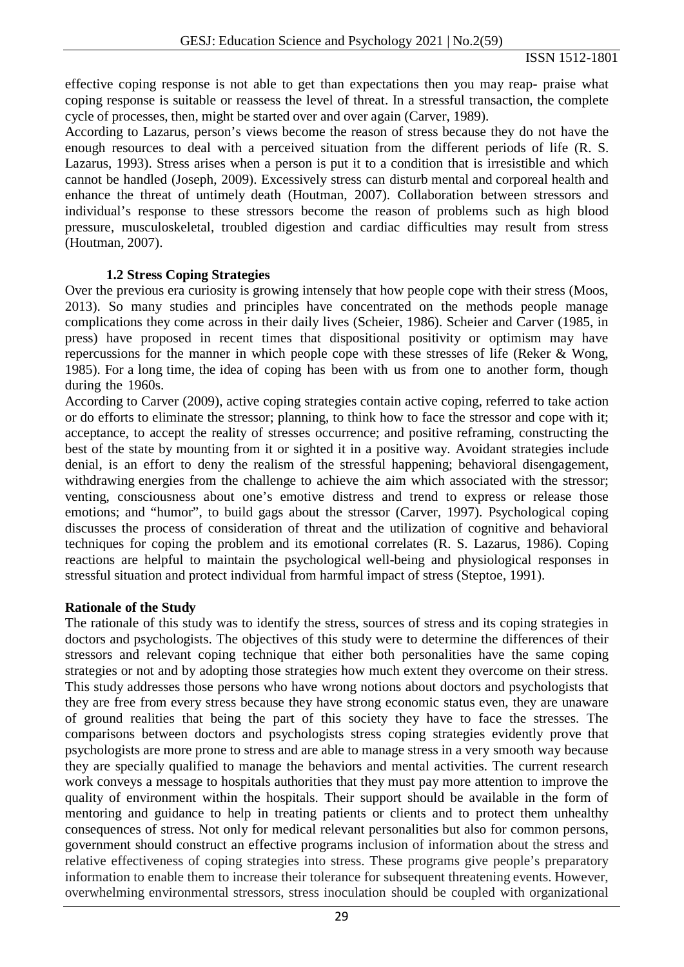effective coping response is not able to get than expectations then you may reap- praise what coping response is suitable or reassess the level of threat. In a stressful transaction, the complete cycle of processes, then, might be started over and over again (Carver, 1989).

According to Lazarus, person's views become the reason of stress because they do not have the enough resources to deal with a perceived situation from the different periods of life (R. S. Lazarus, 1993). Stress arises when a person is put it to a condition that is irresistible and which cannot be handled (Joseph, 2009). Excessively stress can disturb mental and corporeal health and enhance the threat of untimely death (Houtman, 2007). Collaboration between stressors and individual's response to these stressors become the reason of problems such as high blood pressure, musculoskeletal, troubled digestion and cardiac difficulties may result from stress (Houtman, 2007).

## **1.2 Stress Coping Strategies**

Over the previous era curiosity is growing intensely that how people cope with their stress (Moos, 2013). So many studies and principles have concentrated on the methods people manage complications they come across in their daily lives (Scheier, 1986). Scheier and Carver (1985, in press) have proposed in recent times that dispositional positivity or optimism may have repercussions for the manner in which people cope with these stresses of life (Reker & Wong, 1985). For a long time, the idea of coping has been with us from one to another form, though during the 1960s.

According to Carver (2009), active coping strategies contain active coping, referred to take action or do efforts to eliminate the stressor; planning, to think how to face the stressor and cope with it; acceptance, to accept the reality of stresses occurrence; and positive reframing, constructing the best of the state by mounting from it or sighted it in a positive way. Avoidant strategies include denial, is an effort to deny the realism of the stressful happening; behavioral disengagement, withdrawing energies from the challenge to achieve the aim which associated with the stressor; venting, consciousness about one's emotive distress and trend to express or release those emotions; and "humor", to build gags about the stressor (Carver, 1997). Psychological coping discusses the process of consideration of threat and the utilization of cognitive and behavioral techniques for coping the problem and its emotional correlates (R. S. Lazarus, 1986). Coping reactions are helpful to maintain the psychological well-being and physiological responses in stressful situation and protect individual from harmful impact of stress (Steptoe, 1991).

### **Rationale of the Study**

The rationale of this study was to identify the stress, sources of stress and its coping strategies in doctors and psychologists. The objectives of this study were to determine the differences of their stressors and relevant coping technique that either both personalities have the same coping strategies or not and by adopting those strategies how much extent they overcome on their stress. This study addresses those persons who have wrong notions about doctors and psychologists that they are free from every stress because they have strong economic status even, they are unaware of ground realities that being the part of this society they have to face the stresses. The comparisons between doctors and psychologists stress coping strategies evidently prove that psychologists are more prone to stress and are able to manage stress in a very smooth way because they are specially qualified to manage the behaviors and mental activities. The current research work conveys a message to hospitals authorities that they must pay more attention to improve the quality of environment within the hospitals. Their support should be available in the form of mentoring and guidance to help in treating patients or clients and to protect them unhealthy consequences of stress. Not only for medical relevant personalities but also for common persons, government should construct an effective programs inclusion of information about the stress and relative effectiveness of coping strategies into stress. These programs give people's preparatory information to enable them to increase their tolerance for subsequent threatening events. However, overwhelming environmental stressors, stress inoculation should be coupled with organizational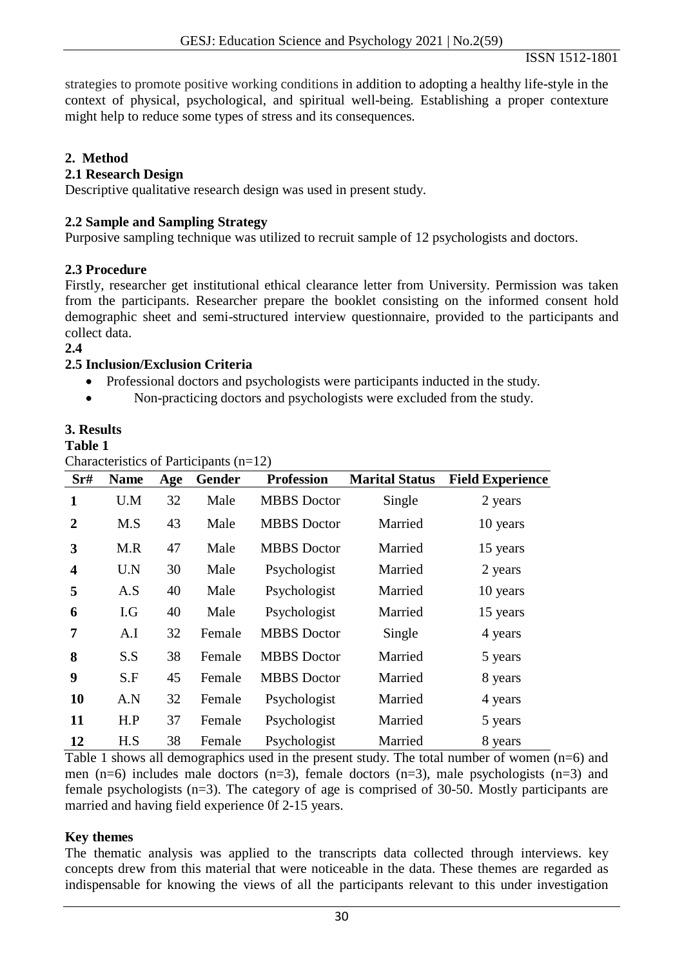strategies to promote positive working conditions in addition to adopting a healthy life-style in the context of physical, psychological, and spiritual well-being. Establishing a proper contexture might help to reduce some types of stress and its consequences.

## **2. Method**

## **2.1 Research Design**

Descriptive qualitative research design was used in present study.

## **2.2 Sample and Sampling Strategy**

Purposive sampling technique was utilized to recruit sample of 12 psychologists and doctors.

## **2.3 Procedure**

Firstly, researcher get institutional ethical clearance letter from University. Permission was taken from the participants. Researcher prepare the booklet consisting on the informed consent hold demographic sheet and semi-structured interview questionnaire, provided to the participants and collect data.

**2.4**

## **2.5 Inclusion/Exclusion Criteria**

- Professional doctors and psychologists were participants inducted in the study.
- Non-practicing doctors and psychologists were excluded from the study.

## **3. Results**

### **Table 1**

Characteristics of Participants  $(n=12)$ 

| Sr#                     | <b>Name</b> | Age | Gender | <b>Profession</b>  | <b>Marital Status</b> | <b>Field Experience</b> |
|-------------------------|-------------|-----|--------|--------------------|-----------------------|-------------------------|
| 1                       | U.M         | 32  | Male   | <b>MBBS</b> Doctor | Single                | 2 years                 |
| $\overline{2}$          | M.S         | 43  | Male   | <b>MBBS</b> Doctor | Married               | 10 years                |
| 3                       | M.R         | 47  | Male   | <b>MBBS</b> Doctor | Married               | 15 years                |
| $\overline{\mathbf{4}}$ | U.N         | 30  | Male   | Psychologist       | Married               | 2 years                 |
| 5                       | A.S         | 40  | Male   | Psychologist       | Married               | 10 years                |
| 6                       | I.G         | 40  | Male   | Psychologist       | Married               | 15 years                |
| 7                       | A.I         | 32  | Female | <b>MBBS</b> Doctor | Single                | 4 years                 |
| 8                       | S.S         | 38  | Female | <b>MBBS</b> Doctor | Married               | 5 years                 |
| 9                       | S.F         | 45  | Female | <b>MBBS</b> Doctor | Married               | 8 years                 |
| <b>10</b>               | A.N         | 32  | Female | Psychologist       | Married               | 4 years                 |
| 11                      | H.P         | 37  | Female | Psychologist       | Married               | 5 years                 |
| 12                      | H.S         | 38  | Female | Psychologist       | Married               | 8 years                 |

Table 1 shows all demographics used in the present study. The total number of women (n=6) and men (n=6) includes male doctors (n=3), female doctors (n=3), male psychologists (n=3) and female psychologists (n=3). The category of age is comprised of 30-50. Mostly participants are married and having field experience 0f 2-15 years.

### **Key themes**

The thematic analysis was applied to the transcripts data collected through interviews. key concepts drew from this material that were noticeable in the data. These themes are regarded as indispensable for knowing the views of all the participants relevant to this under investigation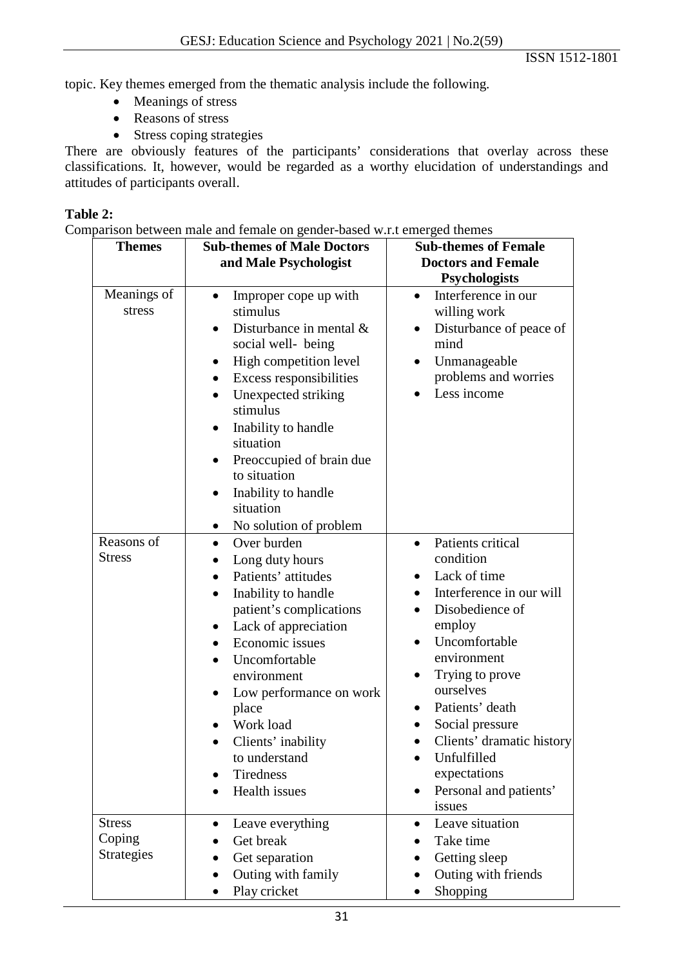topic. Key themes emerged from the thematic analysis include the following.

- Meanings of stress
- Reasons of stress
- Stress coping strategies

There are obviously features of the participants' considerations that overlay across these classifications. It, however, would be regarded as a worthy elucidation of understandings and attitudes of participants overall.

## **Table 2:**

Comparison between male and female on gender-based w.r.t emerged themes

| <b>Themes</b>                                | <b>Sub-themes of Male Doctors</b><br>and Male Psychologist                                                                                                                                                                                                                                                                                                                                                                    | <b>Sub-themes of Female</b><br><b>Doctors and Female</b><br><b>Psychologists</b>                                                                                                                                                                                                                                                                     |
|----------------------------------------------|-------------------------------------------------------------------------------------------------------------------------------------------------------------------------------------------------------------------------------------------------------------------------------------------------------------------------------------------------------------------------------------------------------------------------------|------------------------------------------------------------------------------------------------------------------------------------------------------------------------------------------------------------------------------------------------------------------------------------------------------------------------------------------------------|
| Meanings of<br>stress                        | Improper cope up with<br>$\bullet$<br>stimulus<br>Disturbance in mental &<br>$\bullet$<br>social well- being<br>High competition level<br>Excess responsibilities<br>$\bullet$<br>Unexpected striking<br>٠<br>stimulus<br>Inability to handle<br>٠<br>situation<br>Preoccupied of brain due<br>$\bullet$<br>to situation<br>Inability to handle<br>٠<br>situation<br>No solution of problem<br>$\bullet$                      | Interference in our<br>$\bullet$<br>willing work<br>Disturbance of peace of<br>$\bullet$<br>mind<br>Unmanageable<br>problems and worries<br>Less income                                                                                                                                                                                              |
| Reasons of<br><b>Stress</b>                  | Over burden<br>$\bullet$<br>Long duty hours<br>$\bullet$<br>Patients' attitudes<br>$\bullet$<br>Inability to handle<br>$\bullet$<br>patient's complications<br>Lack of appreciation<br>$\bullet$<br>Economic issues<br>$\bullet$<br>Uncomfortable<br>$\bullet$<br>environment<br>Low performance on work<br>$\bullet$<br>place<br>Work load<br>Clients' inability<br>to understand<br>Tiredness<br>Health issues<br>$\bullet$ | Patients critical<br>$\bullet$<br>condition<br>Lack of time<br>Interference in our will<br>Disobedience of<br>employ<br>Uncomfortable<br>environment<br>Trying to prove<br>ourselves<br>Patients' death<br>Social pressure<br>Clients' dramatic history<br>$\bullet$<br>Unfulfilled<br>expectations<br>Personal and patients'<br>$\bullet$<br>issues |
| <b>Stress</b><br>Coping<br><b>Strategies</b> | Leave everything<br>$\bullet$<br>Get break<br>Get separation<br>Outing with family<br>$\bullet$<br>Play cricket                                                                                                                                                                                                                                                                                                               | Leave situation<br>$\bullet$<br>Take time<br>Getting sleep<br>Outing with friends<br>$\bullet$<br>Shopping<br>$\bullet$                                                                                                                                                                                                                              |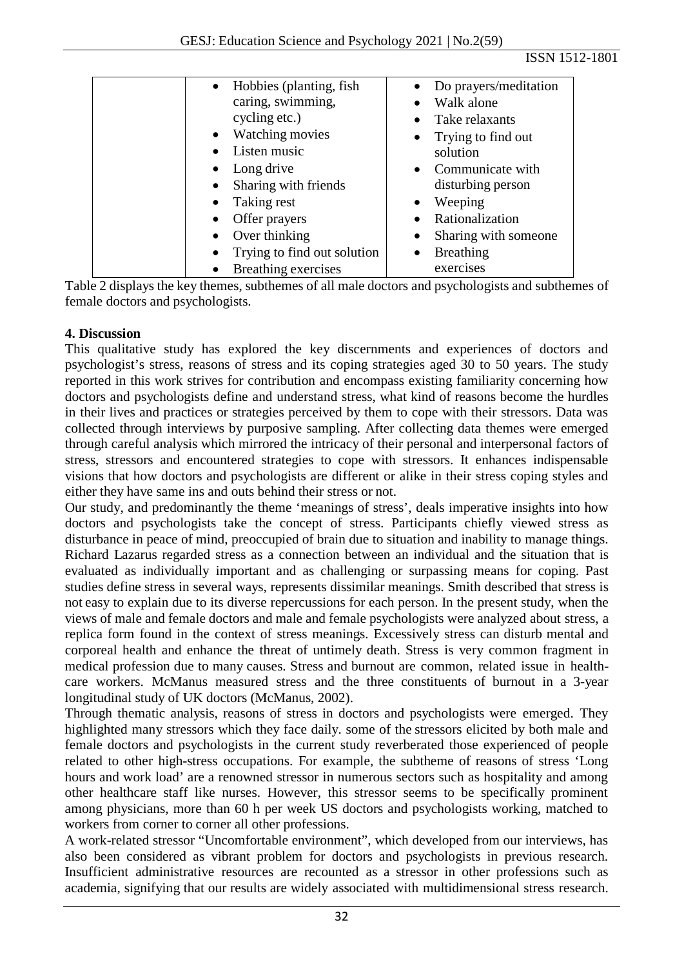ISSN 1512-1801

| Hobbies (planting, fish             | Do prayers/meditation             |
|-------------------------------------|-----------------------------------|
| caring, swimming,                   | Walk alone                        |
| cycling etc.)                       | Take relaxants                    |
| <b>Watching movies</b><br>$\bullet$ | Trying to find out<br>$\bullet$   |
| Listen music                        | solution                          |
| Long drive<br>$\bullet$             | Communicate with<br>$\bullet$     |
| Sharing with friends<br>$\bullet$   | disturbing person                 |
| Taking rest<br>$\bullet$            | Weeping<br>$\bullet$              |
| Offer prayers                       | Rationalization                   |
| Over thinking<br>$\bullet$          | Sharing with someone<br>$\bullet$ |
| Trying to find out solution         | <b>Breathing</b><br>$\bullet$     |
| Breathing exercises                 | exercises                         |

Table 2 displays the key themes, subthemes of all male doctors and psychologists and subthemes of female doctors and psychologists.

## **4. Discussion**

This qualitative study has explored the key discernments and experiences of doctors and psychologist's stress, reasons of stress and its coping strategies aged 30 to 50 years. The study reported in this work strives for contribution and encompass existing familiarity concerning how doctors and psychologists define and understand stress, what kind of reasons become the hurdles in their lives and practices or strategies perceived by them to cope with their stressors. Data was collected through interviews by purposive sampling. After collecting data themes were emerged through careful analysis which mirrored the intricacy of their personal and interpersonal factors of stress, stressors and encountered strategies to cope with stressors. It enhances indispensable visions that how doctors and psychologists are different or alike in their stress coping styles and either they have same ins and outs behind their stress or not.

Our study, and predominantly the theme 'meanings of stress', deals imperative insights into how doctors and psychologists take the concept of stress. Participants chiefly viewed stress as disturbance in peace of mind, preoccupied of brain due to situation and inability to manage things. Richard Lazarus regarded stress as a connection between an individual and the situation that is evaluated as individually important and as challenging or surpassing means for coping. Past studies define stress in several ways, represents dissimilar meanings. Smith described that stress is not easy to explain due to its diverse repercussions for each person. In the present study, when the views of male and female doctors and male and female psychologists were analyzed about stress, a replica form found in the context of stress meanings. Excessively stress can disturb mental and corporeal health and enhance the threat of untimely death. Stress is very common fragment in medical profession due to many causes. Stress and burnout are common, related issue in healthcare workers. McManus measured stress and the three constituents of burnout in a 3-year longitudinal study of UK doctors (McManus, 2002).

Through thematic analysis, reasons of stress in doctors and psychologists were emerged. They highlighted many stressors which they face daily. some of the stressors elicited by both male and female doctors and psychologists in the current study reverberated those experienced of people related to other high-stress occupations. For example, the subtheme of reasons of stress 'Long hours and work load' are a renowned stressor in numerous sectors such as hospitality and among other healthcare staff like nurses. However, this stressor seems to be specifically prominent among physicians, more than 60 h per week US doctors and psychologists working, matched to workers from corner to corner all other professions.

A work-related stressor "Uncomfortable environment", which developed from our interviews, has also been considered as vibrant problem for doctors and psychologists in previous research. Insufficient administrative resources are recounted as a stressor in other professions such as academia, signifying that our results are widely associated with multidimensional stress research.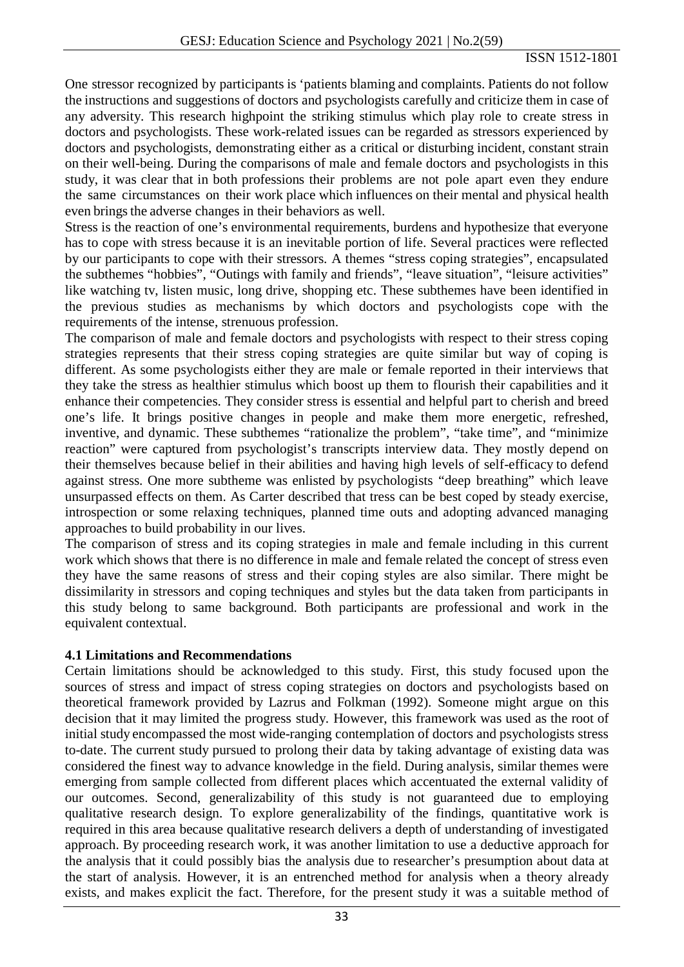### ISSN 1512-1801

One stressor recognized by participants is 'patients blaming and complaints. Patients do not follow the instructions and suggestions of doctors and psychologists carefully and criticize them in case of any adversity. This research highpoint the striking stimulus which play role to create stress in doctors and psychologists. These work-related issues can be regarded as stressors experienced by doctors and psychologists, demonstrating either as a critical or disturbing incident, constant strain on their well-being. During the comparisons of male and female doctors and psychologists in this study, it was clear that in both professions their problems are not pole apart even they endure the same circumstances on their work place which influences on their mental and physical health even brings the adverse changes in their behaviors as well.

Stress is the reaction of one's environmental requirements, burdens and hypothesize that everyone has to cope with stress because it is an inevitable portion of life. Several practices were reflected by our participants to cope with their stressors. A themes "stress coping strategies", encapsulated the subthemes "hobbies", "Outings with family and friends", "leave situation", "leisure activities" like watching tv, listen music, long drive, shopping etc. These subthemes have been identified in the previous studies as mechanisms by which doctors and psychologists cope with the requirements of the intense, strenuous profession.

The comparison of male and female doctors and psychologists with respect to their stress coping strategies represents that their stress coping strategies are quite similar but way of coping is different. As some psychologists either they are male or female reported in their interviews that they take the stress as healthier stimulus which boost up them to flourish their capabilities and it enhance their competencies. They consider stress is essential and helpful part to cherish and breed one's life. It brings positive changes in people and make them more energetic, refreshed, inventive, and dynamic. These subthemes "rationalize the problem", "take time", and "minimize reaction" were captured from psychologist's transcripts interview data. They mostly depend on their themselves because belief in their abilities and having high levels of self-efficacy to defend against stress. One more subtheme was enlisted by psychologists "deep breathing" which leave unsurpassed effects on them. As Carter described that tress can be best coped by steady exercise, introspection or some relaxing techniques, planned time outs and adopting advanced managing approaches to build probability in our lives.

The comparison of stress and its coping strategies in male and female including in this current work which shows that there is no difference in male and female related the concept of stress even they have the same reasons of stress and their coping styles are also similar. There might be dissimilarity in stressors and coping techniques and styles but the data taken from participants in this study belong to same background. Both participants are professional and work in the equivalent contextual.

### **4.1 Limitations and Recommendations**

Certain limitations should be acknowledged to this study. First, this study focused upon the sources of stress and impact of stress coping strategies on doctors and psychologists based on theoretical framework provided by Lazrus and Folkman (1992). Someone might argue on this decision that it may limited the progress study. However, this framework was used as the root of initial study encompassed the most wide-ranging contemplation of doctors and psychologists stress to-date. The current study pursued to prolong their data by taking advantage of existing data was considered the finest way to advance knowledge in the field. During analysis, similar themes were emerging from sample collected from different places which accentuated the external validity of our outcomes. Second, generalizability of this study is not guaranteed due to employing qualitative research design. To explore generalizability of the findings, quantitative work is required in this area because qualitative research delivers a depth of understanding of investigated approach. By proceeding research work, it was another limitation to use a deductive approach for the analysis that it could possibly bias the analysis due to researcher's presumption about data at the start of analysis. However, it is an entrenched method for analysis when a theory already exists, and makes explicit the fact. Therefore, for the present study it was a suitable method of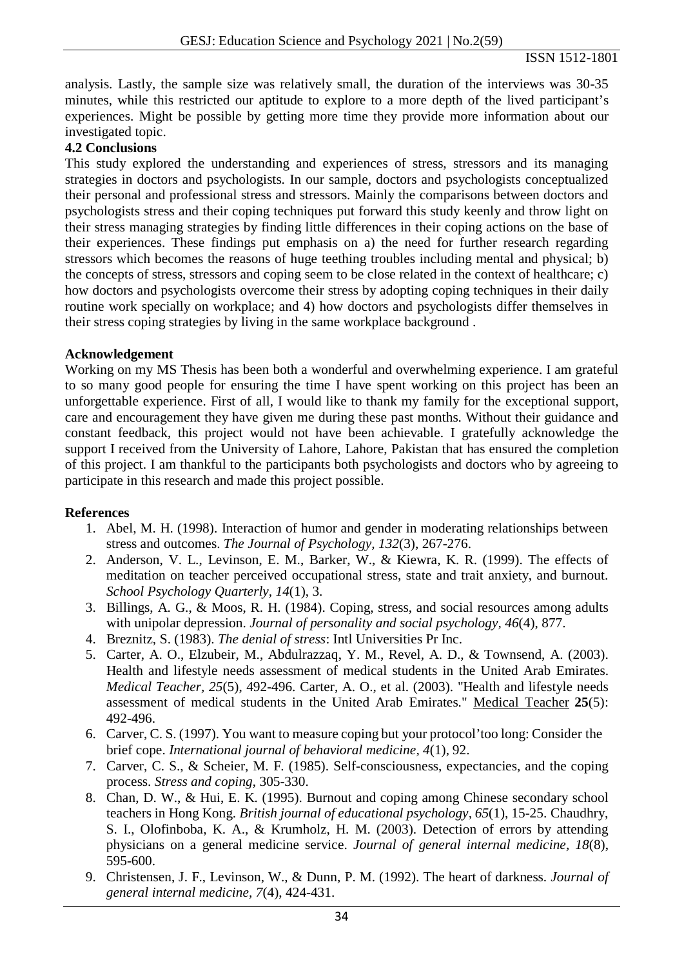analysis. Lastly, the sample size was relatively small, the duration of the interviews was 30-35 minutes, while this restricted our aptitude to explore to a more depth of the lived participant's experiences. Might be possible by getting more time they provide more information about our investigated topic.

## **4.2 Conclusions**

This study explored the understanding and experiences of stress, stressors and its managing strategies in doctors and psychologists. In our sample, doctors and psychologists conceptualized their personal and professional stress and stressors. Mainly the comparisons between doctors and psychologists stress and their coping techniques put forward this study keenly and throw light on their stress managing strategies by finding little differences in their coping actions on the base of their experiences. These findings put emphasis on a) the need for further research regarding stressors which becomes the reasons of huge teething troubles including mental and physical; b) the concepts of stress, stressors and coping seem to be close related in the context of healthcare; c) how doctors and psychologists overcome their stress by adopting coping techniques in their daily routine work specially on workplace; and 4) how doctors and psychologists differ themselves in their stress coping strategies by living in the same workplace background .

### **Acknowledgement**

Working on my MS Thesis has been both a wonderful and overwhelming experience. I am grateful to so many good people for ensuring the time I have spent working on this project has been an unforgettable experience. First of all, I would like to thank my family for the exceptional support, care and encouragement they have given me during these past months. Without their guidance and constant feedback, this project would not have been achievable. I gratefully acknowledge the support I received from the University of Lahore, Lahore, Pakistan that has ensured the completion of this project. I am thankful to the participants both psychologists and doctors who by agreeing to participate in this research and made this project possible.

### **References**

- 1. Abel, M. H. (1998). Interaction of humor and gender in moderating relationships between stress and outcomes. *The Journal of Psychology, 132*(3), 267-276.
- 2. Anderson, V. L., Levinson, E. M., Barker, W., & Kiewra, K. R. (1999). The effects of meditation on teacher perceived occupational stress, state and trait anxiety, and burnout. *School Psychology Quarterly, 14*(1), 3.
- 3. Billings, A. G., & Moos, R. H. (1984). Coping, stress, and social resources among adults with unipolar depression. *Journal of personality and social psychology, 46*(4), 877.
- 4. Breznitz, S. (1983). *The denial of stress*: Intl Universities Pr Inc.
- 5. Carter, A. O., Elzubeir, M., Abdulrazzaq, Y. M., Revel, A. D., & Townsend, A. (2003). Health and lifestyle needs assessment of medical students in the United Arab Emirates. *Medical Teacher, 25*(5), 492-496. Carter, A. O., et al. (2003). "Health and lifestyle needs assessment of medical students in the United Arab Emirates." Medical Teacher **25**(5): 492-496.
- 6. Carver, C. S. (1997). You want to measure coping but your protocol'too long: Consider the brief cope. *International journal of behavioral medicine, 4*(1), 92.
- 7. Carver, C. S., & Scheier, M. F. (1985). Self-consciousness, expectancies, and the coping process. *Stress and coping*, 305-330.
- 8. Chan, D. W., & Hui, E. K. (1995). Burnout and coping among Chinese secondary school teachers in Hong Kong. *British journal of educational psychology, 65*(1), 15-25. Chaudhry, S. I., Olofinboba, K. A., & Krumholz, H. M. (2003). Detection of errors by attending physicians on a general medicine service. *Journal of general internal medicine, 18*(8), 595-600.
- 9. Christensen, J. F., Levinson, W., & Dunn, P. M. (1992). The heart of darkness. *Journal of general internal medicine, 7*(4), 424-431.